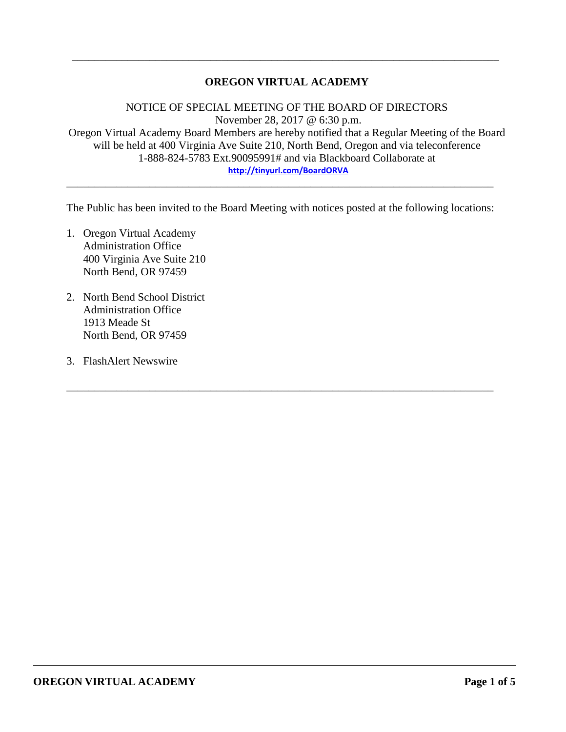# **OREGON VIRTUAL ACADEMY**

\_\_\_\_\_\_\_\_\_\_\_\_\_\_\_\_\_\_\_\_\_\_\_\_\_\_\_\_\_\_\_\_\_\_\_\_\_\_\_\_\_\_\_\_\_\_\_\_\_\_\_\_\_\_\_\_\_\_\_\_\_\_\_\_\_\_\_\_\_\_\_\_\_\_\_\_\_

NOTICE OF SPECIAL MEETING OF THE BOARD OF DIRECTORS November 28, 2017 @ 6:30 p.m. Oregon Virtual Academy Board Members are hereby notified that a Regular Meeting of the Board will be held at 400 Virginia Ave Suite 210, North Bend, Oregon and via teleconference 1-888-824-5783 Ext.90095991# and via Blackboard Collaborate at **<http://tinyurl.com/BoardORVA>**

The Public has been invited to the Board Meeting with notices posted at the following locations:

\_\_\_\_\_\_\_\_\_\_\_\_\_\_\_\_\_\_\_\_\_\_\_\_\_\_\_\_\_\_\_\_\_\_\_\_\_\_\_\_\_\_\_\_\_\_\_\_\_\_\_\_\_\_\_\_\_\_\_\_\_\_\_\_\_\_\_\_\_\_\_\_\_\_\_\_\_

\_\_\_\_\_\_\_\_\_\_\_\_\_\_\_\_\_\_\_\_\_\_\_\_\_\_\_\_\_\_\_\_\_\_\_\_\_\_\_\_\_\_\_\_\_\_\_\_\_\_\_\_\_\_\_\_\_\_\_\_\_\_\_\_\_\_\_\_\_\_\_\_\_\_\_\_\_

- 1. Oregon Virtual Academy Administration Office 400 Virginia Ave Suite 210 North Bend, OR 97459
- 2. North Bend School District Administration Office 1913 Meade St North Bend, OR 97459
- 3. FlashAlert Newswire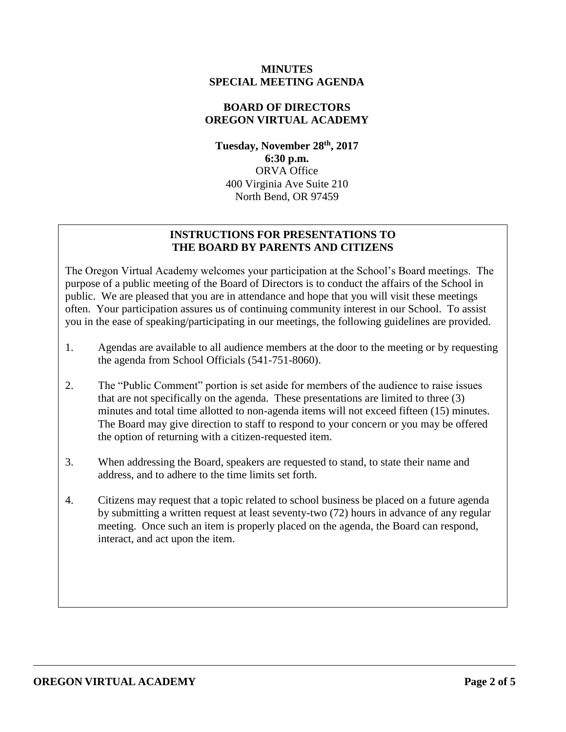#### **MINUTES SPECIAL MEETING AGENDA**

# **BOARD OF DIRECTORS OREGON VIRTUAL ACADEMY**

**Tuesday, November 28th , 2017 6:30 p.m.** ORVA Office 400 Virginia Ave Suite 210 North Bend, OR 97459

# **INSTRUCTIONS FOR PRESENTATIONS TO THE BOARD BY PARENTS AND CITIZENS**

The Oregon Virtual Academy welcomes your participation at the School's Board meetings. The purpose of a public meeting of the Board of Directors is to conduct the affairs of the School in public. We are pleased that you are in attendance and hope that you will visit these meetings often. Your participation assures us of continuing community interest in our School. To assist you in the ease of speaking/participating in our meetings, the following guidelines are provided.

- 1. Agendas are available to all audience members at the door to the meeting or by requesting the agenda from School Officials (541-751-8060).
- 2. The "Public Comment" portion is set aside for members of the audience to raise issues that are not specifically on the agenda. These presentations are limited to three (3) minutes and total time allotted to non-agenda items will not exceed fifteen (15) minutes. The Board may give direction to staff to respond to your concern or you may be offered the option of returning with a citizen-requested item.
- 3. When addressing the Board, speakers are requested to stand, to state their name and address, and to adhere to the time limits set forth.
- 4. Citizens may request that a topic related to school business be placed on a future agenda by submitting a written request at least seventy-two (72) hours in advance of any regular meeting. Once such an item is properly placed on the agenda, the Board can respond, interact, and act upon the item.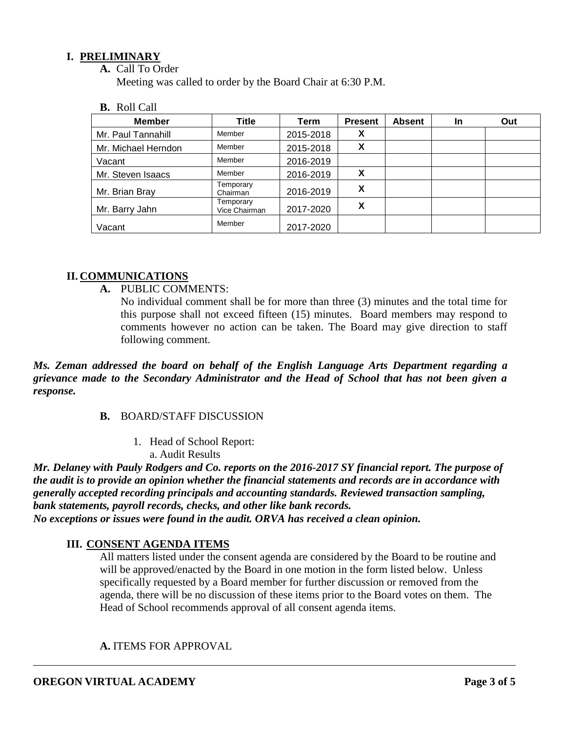# **I. PRELIMINARY**

**A.** Call To Order

Meeting was called to order by the Board Chair at 6:30 P.M.

**B.** Roll Call

| <b>Member</b>       | Title                      | Term      | <b>Present</b> | <b>Absent</b> | In | Out |
|---------------------|----------------------------|-----------|----------------|---------------|----|-----|
| Mr. Paul Tannahill  | Member                     | 2015-2018 | X              |               |    |     |
| Mr. Michael Herndon | Member                     | 2015-2018 | X              |               |    |     |
| Vacant              | Member                     | 2016-2019 |                |               |    |     |
| Mr. Steven Isaacs   | Member                     | 2016-2019 | X              |               |    |     |
| Mr. Brian Bray      | Temporary<br>Chairman      | 2016-2019 | X              |               |    |     |
| Mr. Barry Jahn      | Temporary<br>Vice Chairman | 2017-2020 | χ              |               |    |     |
| Vacant              | Member                     | 2017-2020 |                |               |    |     |

## **II. COMMUNICATIONS**

- **A.** PUBLIC COMMENTS:
	- No individual comment shall be for more than three (3) minutes and the total time for this purpose shall not exceed fifteen (15) minutes. Board members may respond to comments however no action can be taken. The Board may give direction to staff following comment.

*Ms. Zeman addressed the board on behalf of the English Language Arts Department regarding a grievance made to the Secondary Administrator and the Head of School that has not been given a response.* 

#### **B.** BOARD/STAFF DISCUSSION

1. Head of School Report: a. Audit Results

*Mr. Delaney with Pauly Rodgers and Co. reports on the 2016-2017 SY financial report. The purpose of the audit is to provide an opinion whether the financial statements and records are in accordance with generally accepted recording principals and accounting standards. Reviewed transaction sampling, bank statements, payroll records, checks, and other like bank records. No exceptions or issues were found in the audit. ORVA has received a clean opinion.* 

# **III. CONSENT AGENDA ITEMS**

All matters listed under the consent agenda are considered by the Board to be routine and will be approved/enacted by the Board in one motion in the form listed below. Unless specifically requested by a Board member for further discussion or removed from the agenda, there will be no discussion of these items prior to the Board votes on them. The Head of School recommends approval of all consent agenda items.

**A.** ITEMS FOR APPROVAL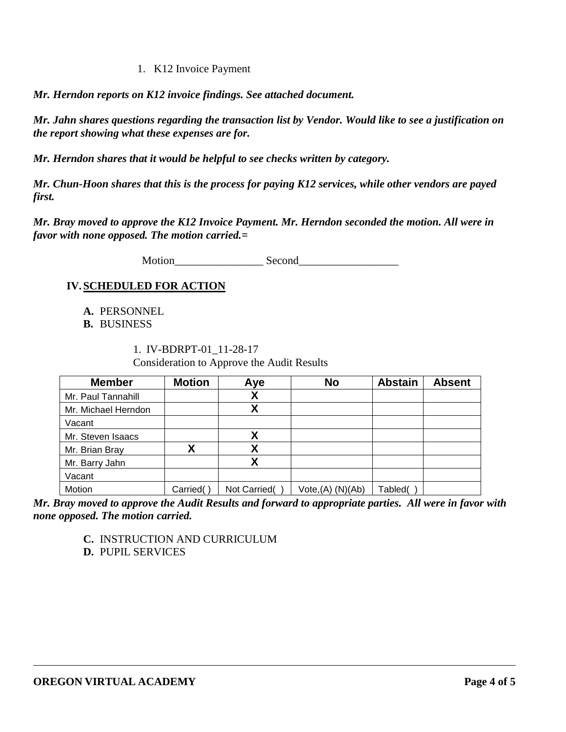1. K12 Invoice Payment

*Mr. Herndon reports on K12 invoice findings. See attached document.* 

*Mr. Jahn shares questions regarding the transaction list by Vendor. Would like to see a justification on the report showing what these expenses are for.* 

*Mr. Herndon shares that it would be helpful to see checks written by category.* 

*Mr. Chun-Hoon shares that this is the process for paying K12 services, while other vendors are payed first.* 

*Mr. Bray moved to approve the K12 Invoice Payment. Mr. Herndon seconded the motion. All were in favor with none opposed. The motion carried.=*

Motion Second

# **IV.SCHEDULED FOR ACTION**

- **A.** PERSONNEL
- **B.** BUSINESS

1. IV-BDRPT-01\_11-28-17 Consideration to Approve the Audit Results

| <b>Member</b>       | <b>Motion</b> | Aye          | <b>No</b>            | <b>Abstain</b> | <b>Absent</b> |
|---------------------|---------------|--------------|----------------------|----------------|---------------|
| Mr. Paul Tannahill  |               | χ            |                      |                |               |
| Mr. Michael Herndon |               | χ            |                      |                |               |
| Vacant              |               |              |                      |                |               |
| Mr. Steven Isaacs   |               | Χ            |                      |                |               |
| Mr. Brian Bray      | γ             | χ            |                      |                |               |
| Mr. Barry Jahn      |               | Χ            |                      |                |               |
| Vacant              |               |              |                      |                |               |
| Motion              | Carried(      | Not Carried( | $Vote,(A)$ $(N)(Ab)$ | Tabled(        |               |

*Mr. Bray moved to approve the Audit Results and forward to appropriate parties. All were in favor with none opposed. The motion carried.* 

**C.** INSTRUCTION AND CURRICULUM

**D.** PUPIL SERVICES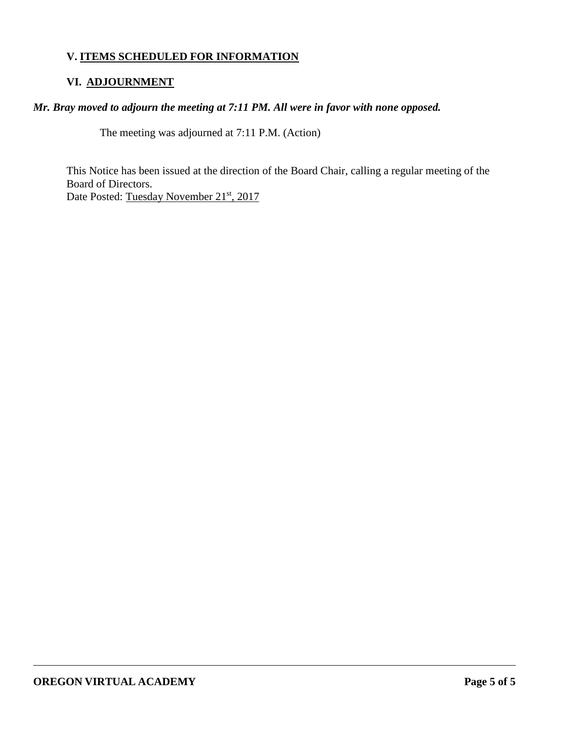# **V. ITEMS SCHEDULED FOR INFORMATION**

## **VI. ADJOURNMENT**

## *Mr. Bray moved to adjourn the meeting at 7:11 PM. All were in favor with none opposed.*

The meeting was adjourned at 7:11 P.M. (Action)

This Notice has been issued at the direction of the Board Chair, calling a regular meeting of the Board of Directors. Date Posted: <u>Tuesday November 21<sup>st</sup>, 2017</u>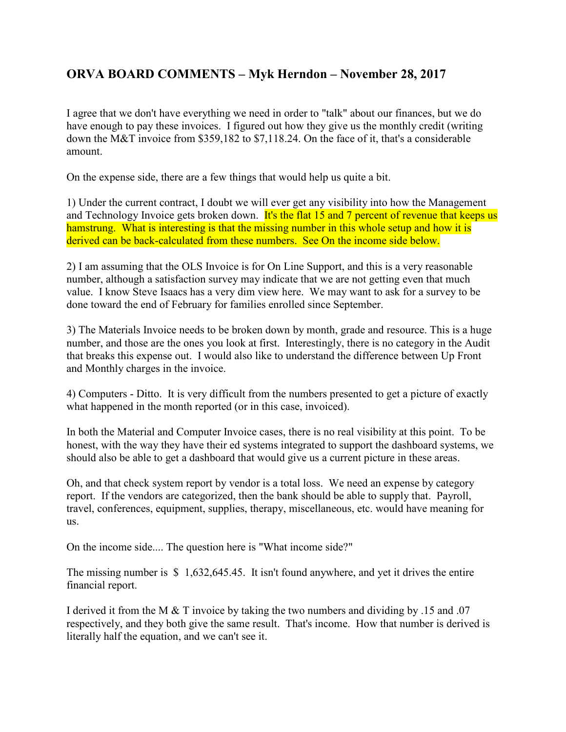# ORVA BOARD COMMENTS – Myk Herndon – November 28, 2017

I agree that we don't have everything we need in order to "talk" about our finances, but we do have enough to pay these invoices. I figured out how they give us the monthly credit (writing down the M&T invoice from \$359,182 to \$7,118.24. On the face of it, that's a considerable amount.

On the expense side, there are a few things that would help us quite a bit.

1) Under the current contract, I doubt we will ever get any visibility into how the Management and Technology Invoice gets broken down. It's the flat 15 and 7 percent of revenue that keeps us hamstrung. What is interesting is that the missing number in this whole setup and how it is derived can be back-calculated from these numbers. See On the income side below.

2) I am assuming that the OLS Invoice is for On Line Support, and this is a very reasonable number, although a satisfaction survey may indicate that we are not getting even that much value. I know Steve Isaacs has a very dim view here. We may want to ask for a survey to be done toward the end of February for families enrolled since September.

3) The Materials Invoice needs to be broken down by month, grade and resource. This is a huge number, and those are the ones you look at first. Interestingly, there is no category in the Audit that breaks this expense out. I would also like to understand the difference between Up Front and Monthly charges in the invoice.

4) Computers - Ditto. It is very difficult from the numbers presented to get a picture of exactly what happened in the month reported (or in this case, invoiced).

In both the Material and Computer Invoice cases, there is no real visibility at this point. To be honest, with the way they have their ed systems integrated to support the dashboard systems, we should also be able to get a dashboard that would give us a current picture in these areas.

Oh, and that check system report by vendor is a total loss. We need an expense by category report. If the vendors are categorized, then the bank should be able to supply that. Payroll, travel, conferences, equipment, supplies, therapy, miscellaneous, etc. would have meaning for us.

On the income side.... The question here is "What income side?"

The missing number is \$ 1,632,645.45. It isn't found anywhere, and yet it drives the entire financial report.

I derived it from the M & T invoice by taking the two numbers and dividing by .15 and .07 respectively, and they both give the same result. That's income. How that number is derived is literally half the equation, and we can't see it.